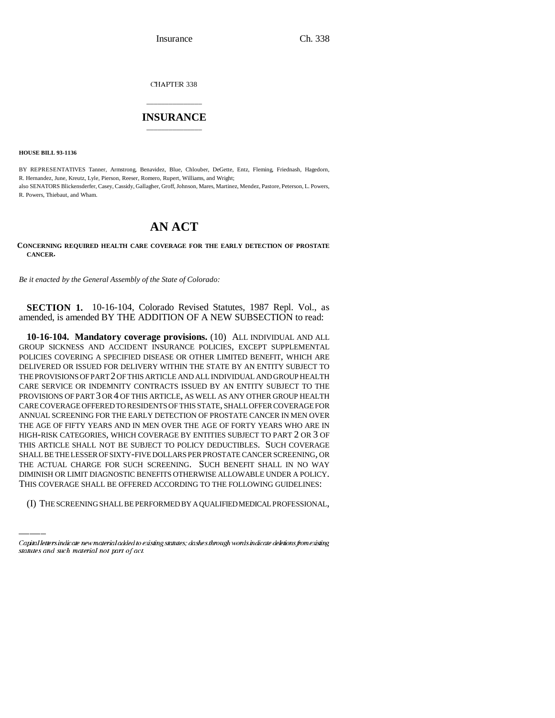Insurance Ch. 338

CHAPTER 338

## \_\_\_\_\_\_\_\_\_\_\_\_\_\_\_ **INSURANCE** \_\_\_\_\_\_\_\_\_\_\_\_\_\_\_

**HOUSE BILL 93-1136**

BY REPRESENTATIVES Tanner, Armstrong, Benavidez, Blue, Chlouber, DeGette, Entz, Fleming, Friednash, Hagedorn, R. Hernandez, June, Kreutz, Lyle, Pierson, Reeser, Romero, Rupert, Williams, and Wright; also SENATORS Blickensderfer, Casey, Cassidy, Gallagher, Groff, Johnson, Mares, Martinez, Mendez, Pastore, Peterson, L. Powers, R. Powers, Thiebaut, and Wham.

## **AN ACT**

**CONCERNING REQUIRED HEALTH CARE COVERAGE FOR THE EARLY DETECTION OF PROSTATE CANCER.**

*Be it enacted by the General Assembly of the State of Colorado:*

**SECTION 1.** 10-16-104, Colorado Revised Statutes, 1987 Repl. Vol., as amended, is amended BY THE ADDITION OF A NEW SUBSECTION to read:

THE ACTUAL CHARGE FOR SUCH SCREENING. SUCH BENEFIT SHALL IN NO WAY **10-16-104. Mandatory coverage provisions.** (10) ALL INDIVIDUAL AND ALL GROUP SICKNESS AND ACCIDENT INSURANCE POLICIES, EXCEPT SUPPLEMENTAL POLICIES COVERING A SPECIFIED DISEASE OR OTHER LIMITED BENEFIT, WHICH ARE DELIVERED OR ISSUED FOR DELIVERY WITHIN THE STATE BY AN ENTITY SUBJECT TO THE PROVISIONS OF PART 2 OF THIS ARTICLE AND ALL INDIVIDUAL AND GROUP HEALTH CARE SERVICE OR INDEMNITY CONTRACTS ISSUED BY AN ENTITY SUBJECT TO THE PROVISIONS OF PART 3 OR 4 OF THIS ARTICLE, AS WELL AS ANY OTHER GROUP HEALTH CARE COVERAGE OFFERED TO RESIDENTS OF THIS STATE, SHALL OFFER COVERAGE FOR ANNUAL SCREENING FOR THE EARLY DETECTION OF PROSTATE CANCER IN MEN OVER THE AGE OF FIFTY YEARS AND IN MEN OVER THE AGE OF FORTY YEARS WHO ARE IN HIGH-RISK CATEGORIES, WHICH COVERAGE BY ENTITIES SUBJECT TO PART 2 OR 3 OF THIS ARTICLE SHALL NOT BE SUBJECT TO POLICY DEDUCTIBLES. SUCH COVERAGE SHALL BE THE LESSER OF SIXTY-FIVE DOLLARS PER PROSTATE CANCER SCREENING, OR DIMINISH OR LIMIT DIAGNOSTIC BENEFITS OTHERWISE ALLOWABLE UNDER A POLICY. THIS COVERAGE SHALL BE OFFERED ACCORDING TO THE FOLLOWING GUIDELINES:

(I) THE SCREENING SHALL BE PERFORMED BY A QUALIFIED MEDICAL PROFESSIONAL,

Capital letters indicate new material added to existing statutes; dashes through words indicate deletions from existing statutes and such material not part of act.